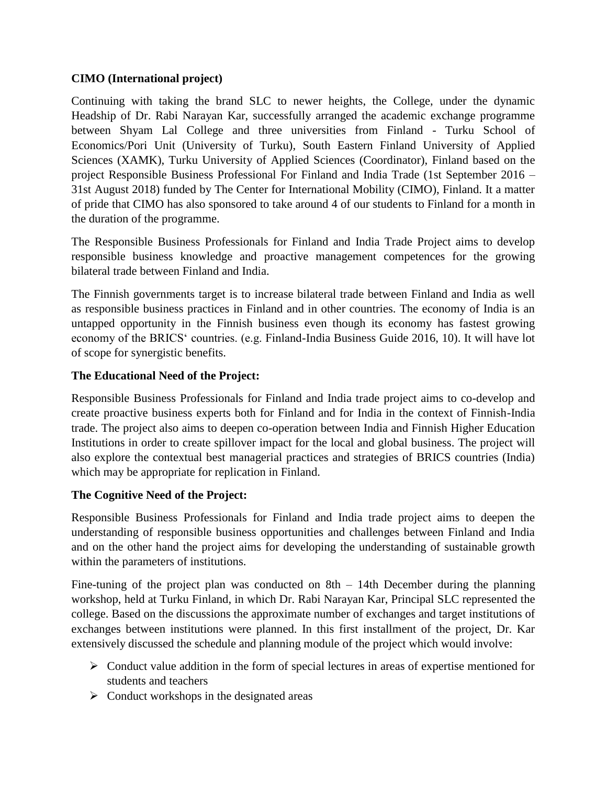## **CIMO (International project)**

Continuing with taking the brand SLC to newer heights, the College, under the dynamic Headship of Dr. Rabi Narayan Kar, successfully arranged the academic exchange programme between Shyam Lal College and three universities from Finland - Turku School of Economics/Pori Unit (University of Turku), South Eastern Finland University of Applied Sciences (XAMK), Turku University of Applied Sciences (Coordinator), Finland based on the project Responsible Business Professional For Finland and India Trade (1st September 2016 – 31st August 2018) funded by The Center for International Mobility (CIMO), Finland. It a matter of pride that CIMO has also sponsored to take around 4 of our students to Finland for a month in the duration of the programme.

The Responsible Business Professionals for Finland and India Trade Project aims to develop responsible business knowledge and proactive management competences for the growing bilateral trade between Finland and India.

The Finnish governments target is to increase bilateral trade between Finland and India as well as responsible business practices in Finland and in other countries. The economy of India is an untapped opportunity in the Finnish business even though its economy has fastest growing economy of the BRICS' countries. (e.g. Finland-India Business Guide 2016, 10). It will have lot of scope for synergistic benefits.

## **The Educational Need of the Project:**

Responsible Business Professionals for Finland and India trade project aims to co-develop and create proactive business experts both for Finland and for India in the context of Finnish-India trade. The project also aims to deepen co-operation between India and Finnish Higher Education Institutions in order to create spillover impact for the local and global business. The project will also explore the contextual best managerial practices and strategies of BRICS countries (India) which may be appropriate for replication in Finland.

## **The Cognitive Need of the Project:**

Responsible Business Professionals for Finland and India trade project aims to deepen the understanding of responsible business opportunities and challenges between Finland and India and on the other hand the project aims for developing the understanding of sustainable growth within the parameters of institutions.

Fine-tuning of the project plan was conducted on 8th – 14th December during the planning workshop, held at Turku Finland, in which Dr. Rabi Narayan Kar, Principal SLC represented the college. Based on the discussions the approximate number of exchanges and target institutions of exchanges between institutions were planned. In this first installment of the project, Dr. Kar extensively discussed the schedule and planning module of the project which would involve:

- $\triangleright$  Conduct value addition in the form of special lectures in areas of expertise mentioned for students and teachers
- $\triangleright$  Conduct workshops in the designated areas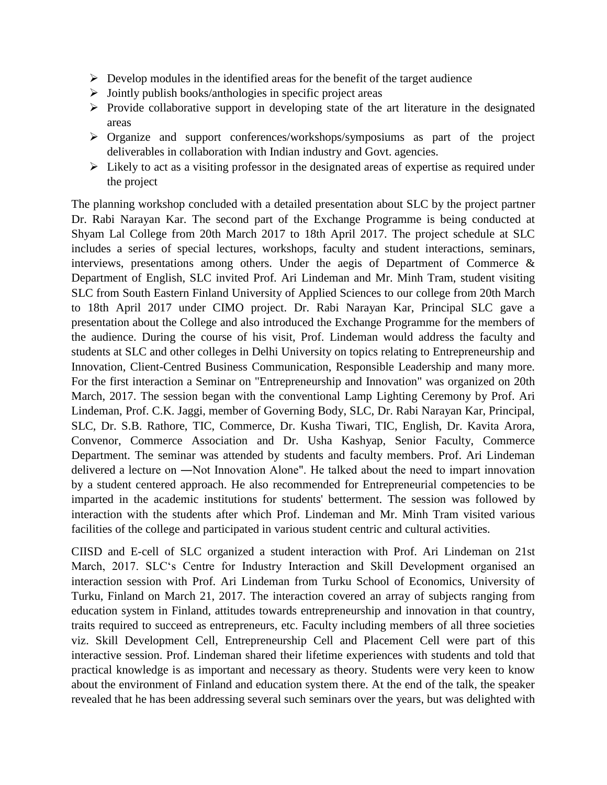- $\triangleright$  Develop modules in the identified areas for the benefit of the target audience
- $\triangleright$  Jointly publish books/anthologies in specific project areas
- $\triangleright$  Provide collaborative support in developing state of the art literature in the designated areas
- $\triangleright$  Organize and support conferences/workshops/symposiums as part of the project deliverables in collaboration with Indian industry and Govt. agencies.
- $\triangleright$  Likely to act as a visiting professor in the designated areas of expertise as required under the project

The planning workshop concluded with a detailed presentation about SLC by the project partner Dr. Rabi Narayan Kar. The second part of the Exchange Programme is being conducted at Shyam Lal College from 20th March 2017 to 18th April 2017. The project schedule at SLC includes a series of special lectures, workshops, faculty and student interactions, seminars, interviews, presentations among others. Under the aegis of Department of Commerce & Department of English, SLC invited Prof. Ari Lindeman and Mr. Minh Tram, student visiting SLC from South Eastern Finland University of Applied Sciences to our college from 20th March to 18th April 2017 under CIMO project. Dr. Rabi Narayan Kar, Principal SLC gave a presentation about the College and also introduced the Exchange Programme for the members of the audience. During the course of his visit, Prof. Lindeman would address the faculty and students at SLC and other colleges in Delhi University on topics relating to Entrepreneurship and Innovation, Client-Centred Business Communication, Responsible Leadership and many more. For the first interaction a Seminar on "Entrepreneurship and Innovation" was organized on 20th March, 2017. The session began with the conventional Lamp Lighting Ceremony by Prof. Ari Lindeman, Prof. C.K. Jaggi, member of Governing Body, SLC, Dr. Rabi Narayan Kar, Principal, SLC, Dr. S.B. Rathore, TIC, Commerce, Dr. Kusha Tiwari, TIC, English, Dr. Kavita Arora, Convenor, Commerce Association and Dr. Usha Kashyap, Senior Faculty, Commerce Department. The seminar was attended by students and faculty members. Prof. Ari Lindeman delivered a lecture on ―Not Innovation Alone". He talked about the need to impart innovation by a student centered approach. He also recommended for Entrepreneurial competencies to be imparted in the academic institutions for students' betterment. The session was followed by interaction with the students after which Prof. Lindeman and Mr. Minh Tram visited various facilities of the college and participated in various student centric and cultural activities.

CIISD and E-cell of SLC organized a student interaction with Prof. Ari Lindeman on 21st March, 2017. SLC's Centre for Industry Interaction and Skill Development organised an interaction session with Prof. Ari Lindeman from Turku School of Economics, University of Turku, Finland on March 21, 2017. The interaction covered an array of subjects ranging from education system in Finland, attitudes towards entrepreneurship and innovation in that country, traits required to succeed as entrepreneurs, etc. Faculty including members of all three societies viz. Skill Development Cell, Entrepreneurship Cell and Placement Cell were part of this interactive session. Prof. Lindeman shared their lifetime experiences with students and told that practical knowledge is as important and necessary as theory. Students were very keen to know about the environment of Finland and education system there. At the end of the talk, the speaker revealed that he has been addressing several such seminars over the years, but was delighted with